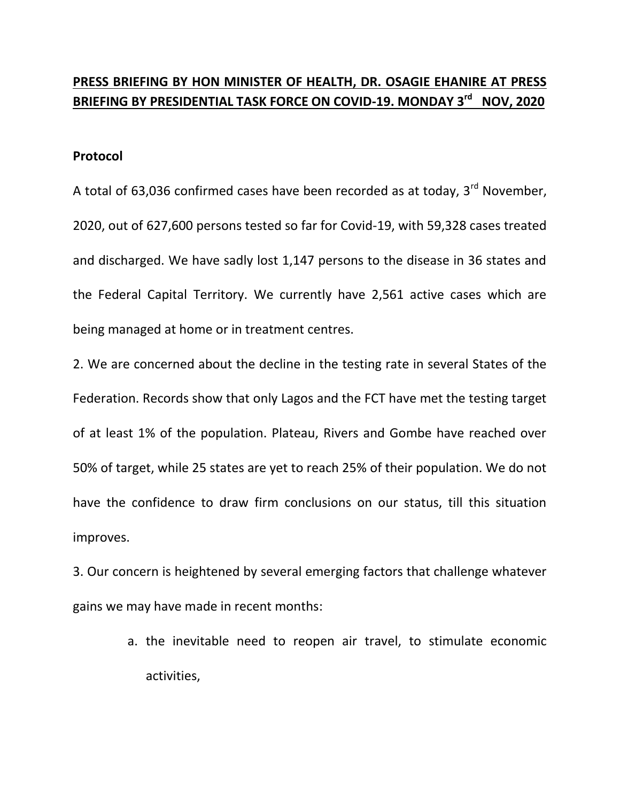## **PRESS BRIEFING BY HON MINISTER OF HEALTH, DR. OSAGIE EHANIRE AT PRESS BRIEFING BY PRESIDENTIAL TASK FORCE ON COVID-19. MONDAY 3rd NOV, 2020**

## **Protocol**

A total of 63,036 confirmed cases have been recorded as at today,  $3^{rd}$  November, 2020, out of 627,600 persons tested so far for Covid-19, with 59,328 cases treated and discharged. We have sadly lost 1,147 persons to the disease in 36 states and the Federal Capital Territory. We currently have 2,561 active cases which are being managed at home or in treatment centres.

2. We are concerned about the decline in the testing rate in several States of the Federation. Records show that only Lagos and the FCT have met the testing target of at least 1% of the population. Plateau, Rivers and Gombe have reached over 50% of target, while 25 states are yet to reach 25% of their population. We do not have the confidence to draw firm conclusions on our status, till this situation improves.

3. Our concern is heightened by several emerging factors that challenge whatever gains we may have made in recent months:

> a. the inevitable need to reopen air travel, to stimulate economic activities,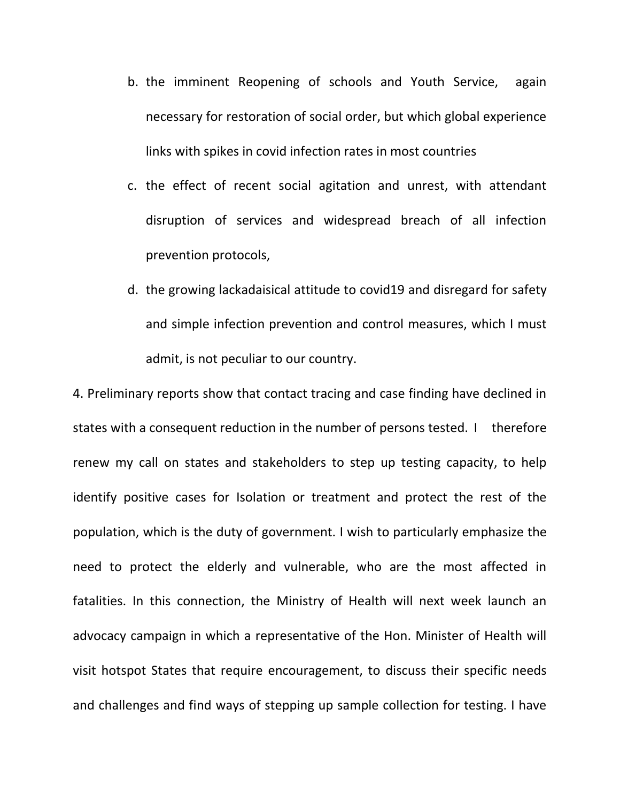- b. the imminent Reopening of schools and Youth Service, again necessary for restoration of social order, but which global experience links with spikes in covid infection rates in most countries
- c. the effect of recent social agitation and unrest, with attendant disruption of services and widespread breach of all infection prevention protocols,
- d. the growing lackadaisical attitude to covid19 and disregard for safety and simple infection prevention and control measures, which I must admit, is not peculiar to our country.

4. Preliminary reports show that contact tracing and case finding have declined in states with a consequent reduction in the number of persons tested. I therefore renew my call on states and stakeholders to step up testing capacity, to help identify positive cases for Isolation or treatment and protect the rest of the population, which is the duty of government. I wish to particularly emphasize the need to protect the elderly and vulnerable, who are the most affected in fatalities. In this connection, the Ministry of Health will next week launch an advocacy campaign in which a representative of the Hon. Minister of Health will visit hotspot States that require encouragement, to discuss their specific needs and challenges and find ways of stepping up sample collection for testing. I have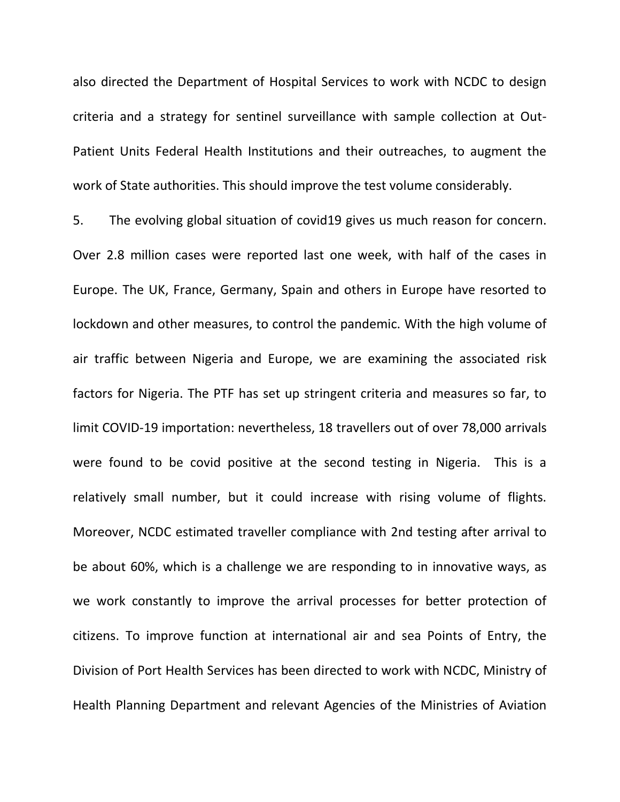also directed the Department of Hospital Services to work with NCDC to design criteria and a strategy for sentinel surveillance with sample collection at Out-Patient Units Federal Health Institutions and their outreaches, to augment the work of State authorities. This should improve the test volume considerably.

5. The evolving global situation of covid19 gives us much reason for concern. Over 2.8 million cases were reported last one week, with half of the cases in Europe. The UK, France, Germany, Spain and others in Europe have resorted to lockdown and other measures, to control the pandemic. With the high volume of air traffic between Nigeria and Europe, we are examining the associated risk factors for Nigeria. The PTF has set up stringent criteria and measures so far, to limit COVID-19 importation: nevertheless, 18 travellers out of over 78,000 arrivals were found to be covid positive at the second testing in Nigeria. This is a relatively small number, but it could increase with rising volume of flights. Moreover, NCDC estimated traveller compliance with 2nd testing after arrival to be about 60%, which is a challenge we are responding to in innovative ways, as we work constantly to improve the arrival processes for better protection of citizens. To improve function at international air and sea Points of Entry, the Division of Port Health Services has been directed to work with NCDC, Ministry of Health Planning Department and relevant Agencies of the Ministries of Aviation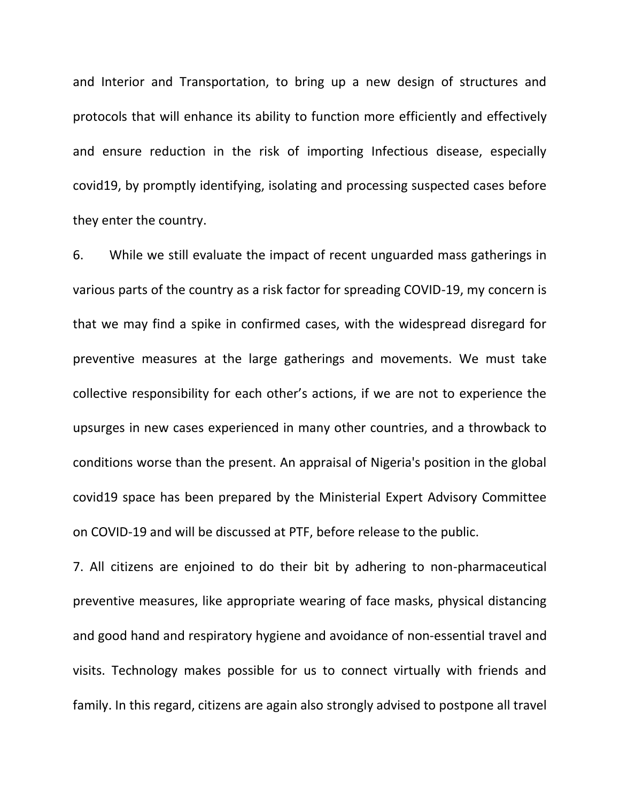and Interior and Transportation, to bring up a new design of structures and protocols that will enhance its ability to function more efficiently and effectively and ensure reduction in the risk of importing Infectious disease, especially covid19, by promptly identifying, isolating and processing suspected cases before they enter the country.

6. While we still evaluate the impact of recent unguarded mass gatherings in various parts of the country as a risk factor for spreading COVID-19, my concern is that we may find a spike in confirmed cases, with the widespread disregard for preventive measures at the large gatherings and movements. We must take collective responsibility for each other's actions, if we are not to experience the upsurges in new cases experienced in many other countries, and a throwback to conditions worse than the present. An appraisal of Nigeria's position in the global covid19 space has been prepared by the Ministerial Expert Advisory Committee on COVID-19 and will be discussed at PTF, before release to the public.

7. All citizens are enjoined to do their bit by adhering to non-pharmaceutical preventive measures, like appropriate wearing of face masks, physical distancing and good hand and respiratory hygiene and avoidance of non-essential travel and visits. Technology makes possible for us to connect virtually with friends and family. In this regard, citizens are again also strongly advised to postpone all travel